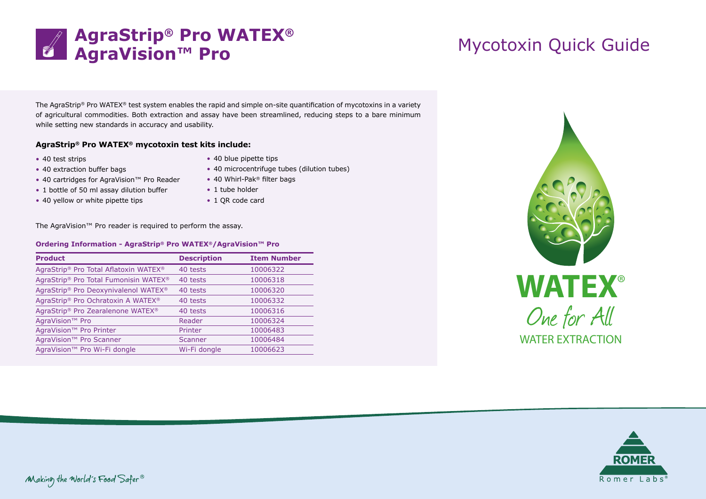

The AgraStrip® Pro WATEX® test system enables the rapid and simple on-site quantification of mycotoxins in a variety of agricultural commodities. Both extraction and assay have been streamlined, reducing steps to a bare minimum while setting new standards in accuracy and usability.

## **AgraStrip® Pro WATEX® mycotoxin test kits include:**

- 40 test strips
- 40 extraction buffer bags
- 40 cartridges for AgraVision™ Pro Reader
- 1 bottle of 50 ml assay dilution buffer
- 40 yellow or white pipette tips
- 40 blue pipette tips
- 40 microcentrifuge tubes (dilution tubes)
- 40 Whirl-Pak<sup>®</sup> filter bags
- 1 tube holder
- 1 QR code card

The AgraVision™ Pro reader is required to perform the assay.

## **Ordering Information - AgraStrip® Pro WATEX®/AgraVision™ Pro**

| <b>Product</b>                        | <b>Description</b> | <b>Item Number</b> |
|---------------------------------------|--------------------|--------------------|
| AgraStrip® Pro Total Aflatoxin WATEX® | 40 tests           | 10006322           |
| AgraStrip® Pro Total Fumonisin WATEX® | 40 tests           | 10006318           |
| AgraStrip® Pro Deoxynivalenol WATEX®  | 40 tests           | 10006320           |
| AgraStrip® Pro Ochratoxin A WATEX®    | 40 tests           | 10006332           |
| AgraStrip® Pro Zearalenone WATEX®     | 40 tests           | 10006316           |
| AgraVision <sup>™</sup> Pro           | Reader             | 10006324           |
| AgraVision <sup>™</sup> Pro Printer   | Printer            | 10006483           |
| AgraVision <sup>™</sup> Pro Scanner   | Scanner            | 10006484           |
| AgraVision™ Pro Wi-Fi dongle          | Wi-Fi dongle       | 10006623           |
|                                       |                    |                    |